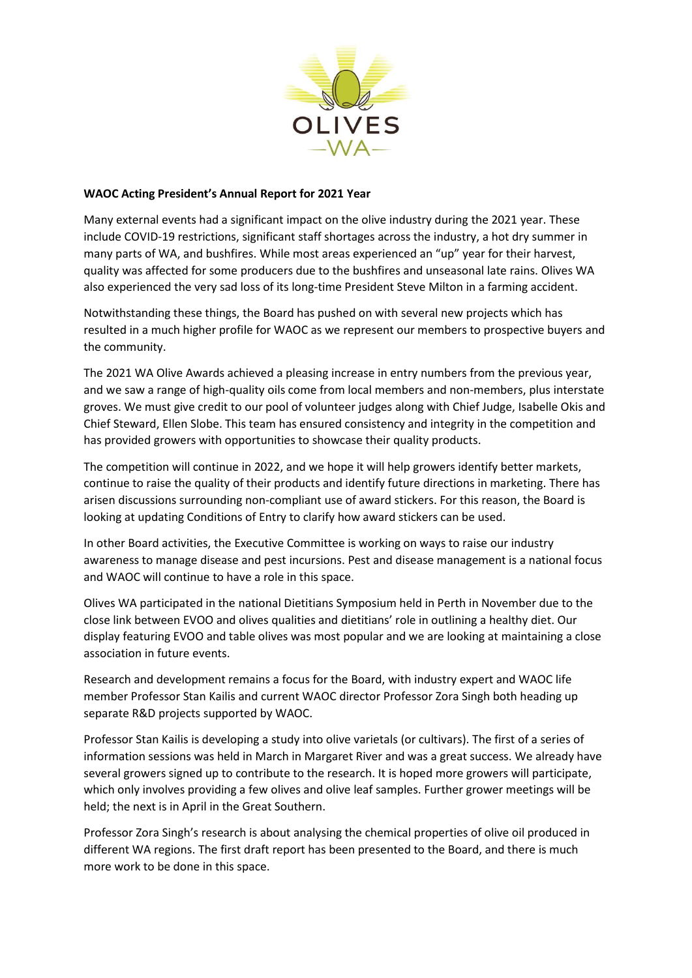

## **WAOC Acting President's Annual Report for 2021 Year**

Many external events had a significant impact on the olive industry during the 2021 year. These include COVID-19 restrictions, significant staff shortages across the industry, a hot dry summer in many parts of WA, and bushfires. While most areas experienced an "up" year for their harvest, quality was affected for some producers due to the bushfires and unseasonal late rains. Olives WA also experienced the very sad loss of its long-time President Steve Milton in a farming accident.

Notwithstanding these things, the Board has pushed on with several new projects which has resulted in a much higher profile for WAOC as we represent our members to prospective buyers and the community.

The 2021 WA Olive Awards achieved a pleasing increase in entry numbers from the previous year, and we saw a range of high-quality oils come from local members and non-members, plus interstate groves. We must give credit to our pool of volunteer judges along with Chief Judge, Isabelle Okis and Chief Steward, Ellen Slobe. This team has ensured consistency and integrity in the competition and has provided growers with opportunities to showcase their quality products.

The competition will continue in 2022, and we hope it will help growers identify better markets, continue to raise the quality of their products and identify future directions in marketing. There has arisen discussions surrounding non-compliant use of award stickers. For this reason, the Board is looking at updating Conditions of Entry to clarify how award stickers can be used.

In other Board activities, the Executive Committee is working on ways to raise our industry awareness to manage disease and pest incursions. Pest and disease management is a national focus and WAOC will continue to have a role in this space.

Olives WA participated in the national Dietitians Symposium held in Perth in November due to the close link between EVOO and olives qualities and dietitians' role in outlining a healthy diet. Our display featuring EVOO and table olives was most popular and we are looking at maintaining a close association in future events.

Research and development remains a focus for the Board, with industry expert and WAOC life member Professor Stan Kailis and current WAOC director Professor Zora Singh both heading up separate R&D projects supported by WAOC.

Professor Stan Kailis is developing a study into olive varietals (or cultivars). The first of a series of information sessions was held in March in Margaret River and was a great success. We already have several growers signed up to contribute to the research. It is hoped more growers will participate, which only involves providing a few olives and olive leaf samples. Further grower meetings will be held; the next is in April in the Great Southern.

Professor Zora Singh's research is about analysing the chemical properties of olive oil produced in different WA regions. The first draft report has been presented to the Board, and there is much more work to be done in this space.